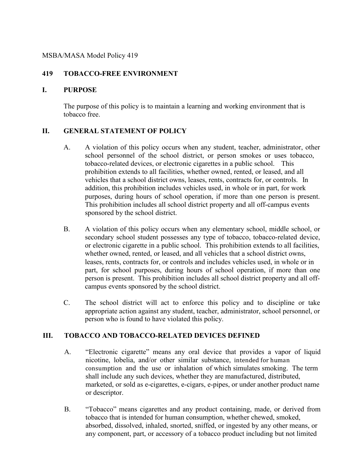#### MSBA/MASA Model Policy 419

### **419 TOBACCO-FREE ENVIRONMENT**

#### **I. PURPOSE**

The purpose of this policy is to maintain a learning and working environment that is tobacco free.

# **II. GENERAL STATEMENT OF POLICY**

- A. A violation of this policy occurs when any student, teacher, administrator, other school personnel of the school district, or person smokes or uses tobacco, tobacco-related devices, or electronic cigarettes in a public school. This prohibition extends to all facilities, whether owned, rented, or leased, and all vehicles that a school district owns, leases, rents, contracts for, or controls. In addition, this prohibition includes vehicles used, in whole or in part, for work purposes, during hours of school operation, if more than one person is present. This prohibition includes all school district property and all off-campus events sponsored by the school district.
- B. A violation of this policy occurs when any elementary school, middle school, or secondary school student possesses any type of tobacco, tobacco-related device, or electronic cigarette in a public school. This prohibition extends to all facilities, whether owned, rented, or leased, and all vehicles that a school district owns, leases, rents, contracts for, or controls and includes vehicles used, in whole or in part, for school purposes, during hours of school operation, if more than one person is present. This prohibition includes all school district property and all offcampus events sponsored by the school district.
- C. The school district will act to enforce this policy and to discipline or take appropriate action against any student, teacher, administrator, school personnel, or person who is found to have violated this policy.

#### **III. TOBACCO AND TOBACCO-RELATED DEVICES DEFINED**

- A. "Electronic cigarette" means any oral device that provides a vapor of liquid nicotine, lobelia, and/or other similar substance, intended for human consumption and the use or inhalation of which simulates smoking. The term shall include any such devices, whether they are manufactured, distributed, marketed, or sold as e-cigarettes, e-cigars, e-pipes, or under another product name or descriptor.
- B. "Tobacco" means cigarettes and any product containing, made, or derived from tobacco that is intended for human consumption, whether chewed, smoked, absorbed, dissolved, inhaled, snorted, sniffed, or ingested by any other means, or any component, part, or accessory of a tobacco product including but not limited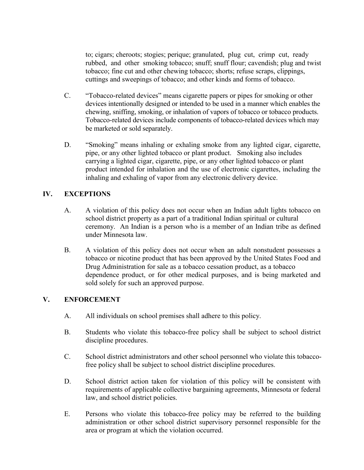to; cigars; cheroots; stogies; perique; granulated, plug cut, crimp cut, ready rubbed, and other smoking tobacco; snuff; snuff flour; cavendish; plug and twist tobacco; fine cut and other chewing tobacco; shorts; refuse scraps, clippings, cuttings and sweepings of tobacco; and other kinds and forms of tobacco.

- C. "Tobacco-related devices" means cigarette papers or pipes for smoking or other devices intentionally designed or intended to be used in a manner which enables the chewing, sniffing, smoking, or inhalation of vapors of tobacco or tobacco products. Tobacco-related devices include components of tobacco-related devices which may be marketed or sold separately.
- D. "Smoking" means inhaling or exhaling smoke from any lighted cigar, cigarette, pipe, or any other lighted tobacco or plant product. Smoking also includes carrying a lighted cigar, cigarette, pipe, or any other lighted tobacco or plant product intended for inhalation and the use of electronic cigarettes, including the inhaling and exhaling of vapor from any electronic delivery device.

# **IV. EXCEPTIONS**

- A. A violation of this policy does not occur when an Indian adult lights tobacco on school district property as a part of a traditional Indian spiritual or cultural ceremony. An Indian is a person who is a member of an Indian tribe as defined under Minnesota law.
- B. A violation of this policy does not occur when an adult nonstudent possesses a tobacco or nicotine product that has been approved by the United States Food and Drug Administration for sale as a tobacco cessation product, as a tobacco dependence product, or for other medical purposes, and is being marketed and sold solely for such an approved purpose.

## **V. ENFORCEMENT**

- A. All individuals on school premises shall adhere to this policy.
- B. Students who violate this tobacco-free policy shall be subject to school district discipline procedures.
- C. School district administrators and other school personnel who violate this tobaccofree policy shall be subject to school district discipline procedures.
- D. School district action taken for violation of this policy will be consistent with requirements of applicable collective bargaining agreements, Minnesota or federal law, and school district policies.
- E. Persons who violate this tobacco-free policy may be referred to the building administration or other school district supervisory personnel responsible for the area or program at which the violation occurred.